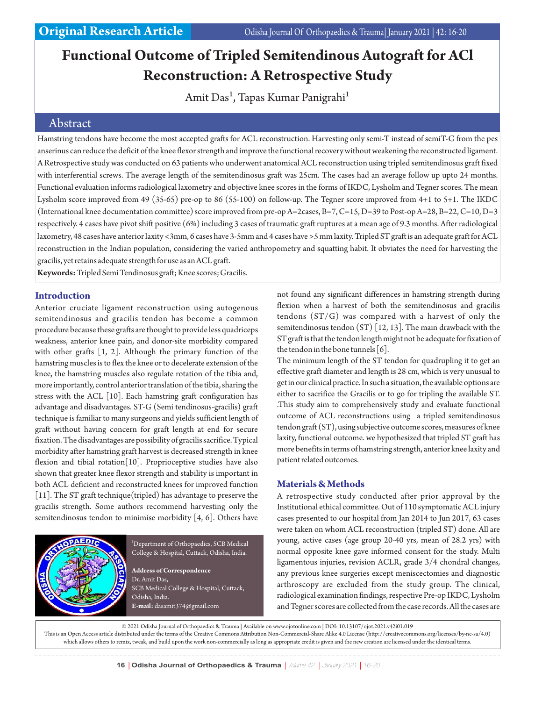# **Functional Outcome of Tripled Semitendinous Autograft for ACl Reconstruction: A Retrospective Study**

Amit Das<sup>1</sup>, Tapas Kumar Panigrahi<sup>1</sup>

## Abstract

Hamstring tendons have become the most accepted grafts for ACL reconstruction. Harvesting only semi-T instead of semiT-G from the pes anserinus can reduce the deficit of the knee flexor strength and improve the functional recovery without weakening the reconstructed ligament. A Retrospective study was conducted on 63 patients who underwent anatomical ACL reconstruction using tripled semitendinosus graft fixed with interferential screws. The average length of the semitendinosus graft was 25cm. The cases had an average follow up upto 24 months. Functional evaluation informs radiological laxometry and objective knee scores in the forms of IKDC, Lysholm and Tegner scores. The mean Lysholm score improved from 49 (35-65) pre-op to 86 (55-100) on follow-up. The Tegner score improved from 4+1 to 5+1. The IKDC (International knee documentation committee) score improved from pre-op A=2cases, B=7, C=15, D=39 to Post-op A=28, B=22, C=10, D=3 respectively. 4 cases have pivot shift positive (6%) including 3 cases of traumatic graft ruptures at a mean age of 9.3 months. After radiological laxometry, 48 cases have anterior laxity <3mm, 6 cases have 3-5mm and 4 cases have >5 mm laxity. Tripled ST graft is an adequate graft for ACL reconstruction in the Indian population, considering the varied anthropometry and squatting habit. It obviates the need for harvesting the gracilis, yet retains adequate strength for use as an ACL graft.

**Keywords:** Tripled Semi Tendinosus graft; Knee scores; Gracilis.

#### **Introduction**

Anterior cruciate ligament reconstruction using autogenous semitendinosus and gracilis tendon has become a common procedure because these grafts are thought to provide less quadriceps weakness, anterior knee pain, and donor-site morbidity compared with other grafts [1, 2]. Although the primary function of the hamstring muscles is to flex the knee or to decelerate extension of the knee, the hamstring muscles also regulate rotation of the tibia and, more importantly, control anterior translation of the tibia, sharing the stress with the ACL [10]. Each hamstring graft configuration has advantage and disadvantages. ST-G (Semi tendinosus-gracilis) graft technique is familiar to many surgeons and yields sufficient length of graft without having concern for graft length at end for secure fixation. The disadvantages are possibility of gracilis sacrifice. Typical morbidity after hamstring graft harvest is decreased strength in knee flexion and tibial rotation[10]. Proprioceptive studies have also shown that greater knee flexor strength and stability is important in both ACL deficient and reconstructed knees for improved function [11]. The ST graft technique(tripled) has advantage to preserve the gracilis strength. Some authors recommend harvesting only the semitendinosus tendon to minimise morbidity [4, 6]. Others have



<sup>1</sup>Department of Orthopaedics, SCB Medical College & Hospital, Cuttack, Odisha, India.

**Address of Correspondence** Dr. Amit Das, SCB Medical College & Hospital, Cuttack, Odisha, India. **E-mail:** dasamit374@gmail.com

not found any significant differences in hamstring strength during flexion when a harvest of both the semitendinosus and gracilis tendons (ST/G) was compared with a harvest of only the semitendinosus tendon (ST) [12, 13]. The main drawback with the ST graft is that the tendon length might not be adequate for fixation of the tendon in the bone tunnels [6].

The minimum length of the ST tendon for quadrupling it to get an effective graft diameter and length is 28 cm, which is very unusual to get in our clinical practice. In such a situation, the available options are either to sacrifice the Gracilis or to go for tripling the available ST. .This study aim to comprehensively study and evaluate functional outcome of ACL reconstructions using a tripled semitendinosus tendon graft (ST), using subjective outcome scores, measures of knee laxity, functional outcome. we hypothesized that tripled ST graft has more benefits in terms of hamstring strength, anterior knee laxity and patient related outcomes.

#### **Materials & Methods**

A retrospective study conducted after prior approval by the Institutional ethical committee. Out of 110 symptomatic ACL injury cases presented to our hospital from Jan 2014 to Jun 2017, 63 cases were taken on whom ACL reconstruction (tripled ST) done. All are young, active cases (age group 20-40 yrs, mean of 28.2 yrs) with normal opposite knee gave informed consent for the study. Multi ligamentous injuries, revision ACLR, grade 3/4 chondral changes, any previous knee surgeries except meniscectomies and diagnostic arthroscopy are excluded from the study group. The clinical, radiological examination findings, respective Pre-op IKDC, Lysholm and Tegner scores are collected from the case records. All the cases are

© 2021 Odisha Journal of Orthopaedics & Trauma | Available on www.ojotonline.com | DOI: 10.13107/ojot.2021.v42i01.019 This is an Open Access article distributed under the terms of the Creative Commons Attribution Non-Commercial-Share Alike 4.0 License (http://creativecommons.org/licenses/by-nc-sa/4.0)

which allows others to remix, tweak, and build upon the work non-commercially as long as appropriate credit is given and the new creation are licensed under the identical terms.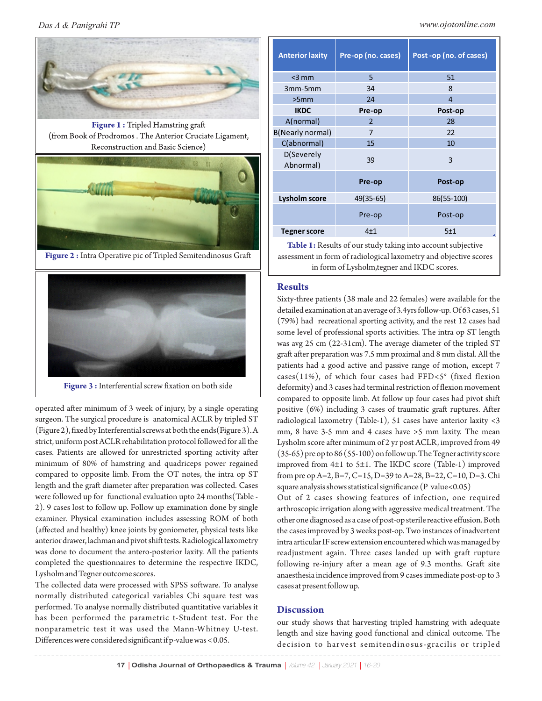

**Figure 3 :** Interferential screw fixation on both side

operated after minimum of 3 week of injury, by a single operating surgeon. The surgical procedure is anatomical ACLR by tripled ST (Figure 2), fixed by Interferential screws at both the ends(Figure 3). A strict, uniform post ACLR rehabilitation protocol followed for all the cases. Patients are allowed for unrestricted sporting activity after minimum of 80% of hamstring and quadriceps power regained compared to opposite limb. From the OT notes, the intra op ST length and the graft diameter after preparation was collected. Cases were followed up for functional evaluation upto 24 months(Table - 2). 9 cases lost to follow up. Follow up examination done by single examiner. Physical examination includes assessing ROM of both (affected and healthy) knee joints by goniometer, physical tests like anterior drawer, lachman and pivot shift tests. Radiological laxometry was done to document the antero-posterior laxity. All the patients completed the questionnaires to determine the respective IKDC, Lysholm and Tegner outcome scores.

The collected data were processed with SPSS software. To analyse normally distributed categorical variables Chi square test was performed. To analyse normally distributed quantitative variables it has been performed the parametric t-Student test. For the nonparametric test it was used the Mann-Whitney U-test. Differences were considered significant if p-value was < 0.05.

| <b>Anterior laxity</b>  | Pre-op (no. cases) | Post -op (no. of cases) |  |  |
|-------------------------|--------------------|-------------------------|--|--|
| $<$ 3 mm                | 5                  | 51                      |  |  |
| 3mm-5mm                 | 34                 | 8                       |  |  |
| >5mm                    | 24                 | $\overline{4}$          |  |  |
| <b>IKDC</b>             | Pre-op             | Post-op                 |  |  |
| A(normal)               | $\mathfrak{p}$     | 28                      |  |  |
| <b>B(Nearly normal)</b> | 7                  | 22                      |  |  |
| C(abnormal)             | 15                 | 10                      |  |  |
| D(Severely<br>Abnormal) | 39                 | 3                       |  |  |
|                         | Pre-op             | Post-op                 |  |  |
| <b>Lysholm score</b>    | 49(35-65)          | 86(55-100)              |  |  |
|                         | Pre-op             | Post-op                 |  |  |
| Tegner score            | 4 <sub>1</sub>     | 5±1                     |  |  |

**Table 1:** Results of our study taking into account subjective assessment in form of radiological laxometry and objective scores in form of Lysholm,tegner and IKDC scores.

#### **Results**

Sixty-three patients (38 male and 22 females) were available for the detailed examination at an average of 3.4yrs follow-up. Of 63 cases, 51 (79%) had recreational sporting activity, and the rest 12 cases had some level of professional sports activities. The intra op ST length was avg 25 cm (22-31cm). The average diameter of the tripled ST graft after preparation was 7.5 mm proximal and 8 mm distal. All the patients had a good active and passive range of motion, except 7 cases(11%), of which four cases had FFD<5° (fixed flexion deformity) and 3 cases had terminal restriction of flexion movement compared to opposite limb. At follow up four cases had pivot shift positive (6%) including 3 cases of traumatic graft ruptures. After radiological laxometry (Table-1), 51 cases have anterior laxity <3 mm, 8 have 3-5 mm and 4 cases have >5 mm laxity. The mean Lysholm score after minimum of 2 yr post ACLR, improved from 49 (35-65) pre op to 86 (55-100) on follow up. The Tegner activity score improved from 4±1 to 5±1. The IKDC score (Table-1) improved from pre op A=2, B=7, C=15, D=39 to A=28, B=22, C=10, D=3. Chi square analysis shows statistical significance (P value<0.05)

Out of 2 cases showing features of infection, one required arthroscopic irrigation along with aggressive medical treatment. The other one diagnosed as a case of post-op sterile reactive effusion. Both the cases improved by 3 weeks post-op. Two instances of inadvertent intra articular IF screw extension encountered which was managed by readjustment again. Three cases landed up with graft rupture following re-injury after a mean age of 9.3 months. Graft site anaesthesia incidence improved from 9 cases immediate post-op to 3 cases at present follow up.

#### **Discussion**

our study shows that harvesting tripled hamstring with adequate length and size having good functional and clinical outcome. The decision to har vest semitendinosus-gracilis or tripled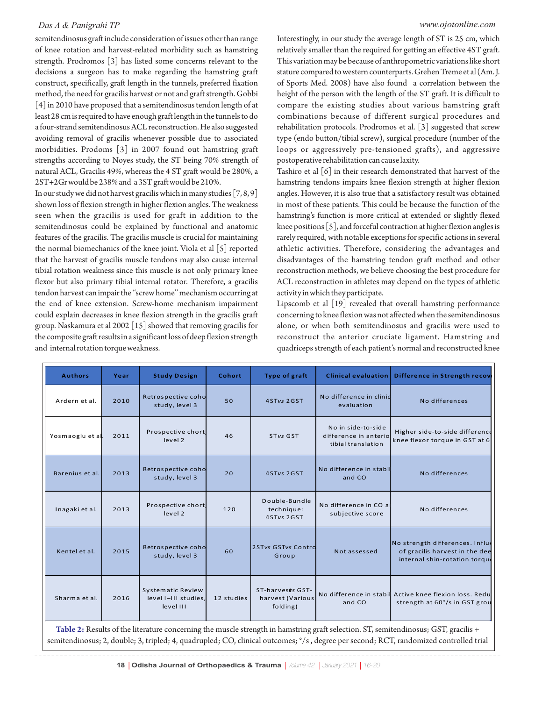semitendinosus graft include consideration of issues other than range of knee rotation and harvest-related morbidity such as hamstring strength. Prodromos [3] has listed some concerns relevant to the decisions a surgeon has to make regarding the hamstring graft construct, specifically, graft length in the tunnels, preferred fixation method, the need for gracilis harvest or not and graft strength. Gobbi [4] in 2010 have proposed that a semitendinosus tendon length of at least 28 cm is required to have enough graft length in the tunnels to do a four-strand semitendinosus ACL reconstruction. He also suggested avoiding removal of gracilis whenever possible due to associated morbidities. Prodoms [3] in 2007 found out hamstring graft strengths according to Noyes study, the ST being 70% strength of natural ACL, Gracilis 49%, whereas the 4 ST graft would be 280%, a 2ST+2Gr would be 238% and a 3ST graft would be 210%.

In our study we did not harvest gracilis which in many studies [7, 8, 9] shown loss of flexion strength in higher flexion angles. The weakness seen when the gracilis is used for graft in addition to the semitendinosus could be explained by functional and anatomic features of the gracilis. The gracilis muscle is crucial for maintaining the normal biomechanics of the knee joint. Viola et al [5] reported that the harvest of gracilis muscle tendons may also cause internal tibial rotation weakness since this muscle is not only primary knee flexor but also primary tibial internal rotator. Therefore, a gracilis tendon harvest can impair the ''screw home'' mechanism occurring at the end of knee extension. Screw-home mechanism impairment could explain decreases in knee flexion strength in the gracilis graft group. Naskamura et al 2002 [15] showed that removing gracilis for the composite graft results in a significant loss of deep flexion strength and internal rotation torque weakness.

Interestingly, in our study the average length of ST is 25 cm, which relatively smaller than the required for getting an effective 4ST graft. This variation may be because of anthropometric variations like short stature compared to western counterparts. Grehen Treme et al (Am. J. of Sports Med. 2008) have also found a correlation between the height of the person with the length of the ST graft. It is difficult to compare the existing studies about various hamstring graft combinations because of different surgical procedures and rehabilitation protocols. Prodromos et al. [3] suggested that screw type (endo button/tibial screw), surgical procedure (number of the loops or aggressively pre-tensioned grafts), and aggressive postoperative rehabilitation can cause laxity.

Tashiro et al [6] in their research demonstrated that harvest of the hamstring tendons impairs knee flexion strength at higher flexion angles. However, it is also true that a satisfactory result was obtained in most of these patients. This could be because the function of the hamstring's function is more critical at extended or slightly flexed knee positions [5], and forceful contraction at higher flexion angles is rarely required, with notable exceptions for specific actions in several athletic activities. Therefore, considering the advantages and disadvantages of the hamstring tendon graft method and other reconstruction methods, we believe choosing the best procedure for ACL reconstruction in athletes may depend on the types of athletic activity in which they participate.

Lipscomb et al [19] revealed that overall hamstring performance concerning to knee flexion was not affected when the semitendinosus alone, or when both semitendinosus and gracilis were used to reconstruct the anterior cruciate ligament. Hamstring and quadriceps strength of each patient's normal and reconstructed knee

| <b>Authors</b>   | Year | <b>Study Design</b>                                    | Cohort     | <b>Type of graft</b>                             | <b>Clinical evaluation</b>                                        | Difference in Strength recov                                                                       |
|------------------|------|--------------------------------------------------------|------------|--------------------------------------------------|-------------------------------------------------------------------|----------------------------------------------------------------------------------------------------|
| Ardern et al.    | 2010 | Retrospective coho<br>study, level 3                   | 50         | 4STvs 2GST                                       | No difference in clinic<br>evaluation                             | No differences                                                                                     |
| Yosmaoglu et al. | 2011 | Prospective chort,<br>level 2                          | 46         | ST <sub>vs</sub> GST                             | No in side-to-side<br>difference in anterio<br>tibial translation | Higher side-to-side difference<br>knee flexor torque in GST at 6                                   |
| Barenius et al.  | 2013 | Retrospective coho<br>study, level 3                   | 20         | 4STvs 2GST                                       | No difference in stabil<br>and CO                                 | No differences                                                                                     |
| Inagaki et al.   | 2013 | Prospective chort,<br>level 2                          | 120        | Double-Bundle<br>technique:<br>4STvs 2GST        | No difference in CO al<br>subjective score                        | No differences                                                                                     |
| Kentel et al.    | 2015 | Retrospective coho<br>study, level 3                   | 60         | 2STvs GSTvs Contro<br>Group                      | Not assessed                                                      | No strength differences. Influe<br>of gracilis harvest in the dee<br>internal shin-rotation torque |
| Sharma et al.    | 2016 | Systematic Review<br>level I-III studies.<br>level III | 12 studies | ST-harvests GST-<br>harvest (Various<br>folding) | No difference in stabil<br>and CO                                 | Active knee flexion loss, Redu<br>strength at 60°/s in GST grou                                    |

**Table 2:** Results of the literature concerning the muscle strength in hamstring graft selection. ST, semitendinosus; GST, gracilis + semitendinosus; 2, double; 3, tripled; 4, quadrupled; CO, clinical outcomes; °/s , degree per second; RCT, randomized controlled trial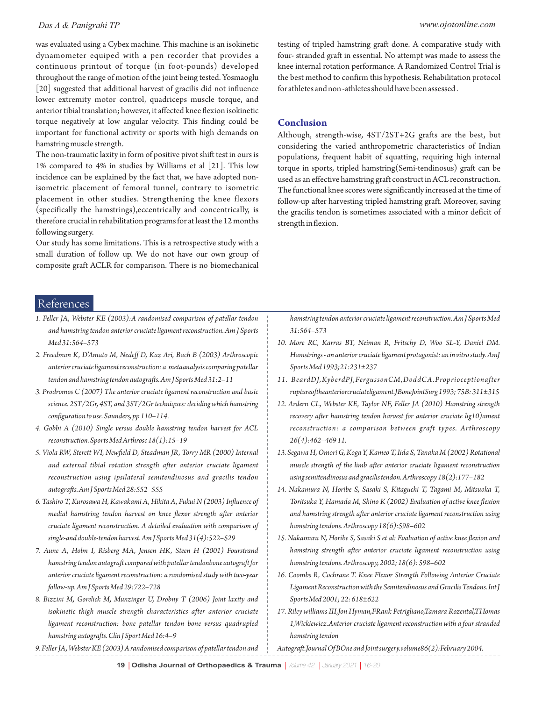was evaluated using a Cybex machine. This machine is an isokinetic dynamometer equiped with a pen recorder that provides a continuous printout of torque (in foot-pounds) developed throughout the range of motion of the joint being tested. Yosmaoglu [20] suggested that additional harvest of gracilis did not influence lower extremity motor control, quadriceps muscle torque, and anterior tibial translation; however, it affected knee flexion isokinetic torque negatively at low angular velocity. This finding could be important for functional activity or sports with high demands on hamstring muscle strength.

The non-traumatic laxity in form of positive pivot shift test in ours is 1% compared to 4% in studies by Williams et al [21]. This low incidence can be explained by the fact that, we have adopted nonisometric placement of femoral tunnel, contrary to isometric placement in other studies. Strengthening the knee flexors (specifically the hamstrings),eccentrically and concentrically, is therefore crucial in rehabilitation programs for at least the 12 months following surgery.

Our study has some limitations. This is a retrospective study with a small duration of follow up. We do not have our own group of composite graft ACLR for comparison. There is no biomechanical testing of tripled hamstring graft done. A comparative study with four- stranded graft in essential. No attempt was made to assess the knee internal rotation performance. A Randomized Control Trial is the best method to confirm this hypothesis. Rehabilitation protocol for athletes and non -athletes should have been assessed .

#### **Conclusion**

Although, strength-wise, 4ST/2ST+2G grafts are the best, but considering the varied anthropometric characteristics of Indian populations, frequent habit of squatting, requiring high internal torque in sports, tripled hamstring(Semi-tendinosus) graft can be used as an effective hamstring graft construct in ACL reconstruction. The functional knee scores were significantly increased at the time of follow-up after harvesting tripled hamstring graft. Moreover, saving the gracilis tendon is sometimes associated with a minor deficit of strength in flexion.

## References

- *1. Feller JA, Webster KE (2003):A randomised comparison of patellar tendon and hamstring tendon anterior cruciate ligament reconstruction. Am J Sports Med 31:564–573*
- *2. Freedman K, D'Amato M, Nedeff D, Kaz Ari, Bach B (2003) Arthroscopic anterior cruciate ligament reconstruction: a metaanalysis comparing patellar tendon and hamstring tendon autografts. Am J Sports Med 31:2–11*
- *3. Prodromos C (2007) The anterior cruciate ligament reconstruction and basic science. 2ST/2Gr, 4ST, and 3ST/2Gr techniques: deciding which hamstring configuration to use. Saunders, pp 110–114 .*
- *4. Gobbi A (2010) Single versus double hamstring tendon harvest for ACL reconstruction. Sports Med Arthrosc 18(1):15–19*
- *5. Viola RW, Sterett WI, Newfield D, Steadman JR, Torry MR (2000) Internal and external tibial rotation strength after anterior cruciate ligament reconstruction using ipsilateral semitendinosus and gracilis tendon autografts. Am J Sports Med 28:552–555*
- *6. Tashiro T, Kurosawa H, Kawakami A, Hikita A, Fukui N (2003) Influence of medial hamstring tendon harvest on knee flexor strength after anterior cruciate ligament reconstruction. A detailed evaluation with comparison of single-and double-tendon harvest. Am J Sports Med 31(4):522–529*
- *7. Aune A, Holm I, Risberg MA, Jensen HK, Steen H (2001) Fourstrand hamstring tendon autograft compared with patellar tendonbone autograft for anterior cruciate ligament reconstruction: a randomised study with two-year follow-up. Am J Sports Med 29:722–728*
- *8. Bizzini M, Gorelick M, Munzinger U, Drobny T (2006) Joint laxity and isokinetic thigh muscle strength characteristics after anterior cruciate ligament reconstruction: bone patellar tendon bone versus quadrupled hamstring autografts. Clin J Sport Med 16:4–9*
- *9. Feller JA, Webster KE (2003) A randomised comparison of patellar tendon and*

*hamstring tendon anterior cruciate ligament reconstruction. Am J Sports Med 31:564–573*

- *10. More RC, Karras BT, Neiman R, Fritschy D, Woo SL-Y, Daniel DM. Hamstrings - an anterior cruciate ligament protagonist: an in vitro study. AmJ Sports Med 1993;21:231±237*
- *11. BeardDJ,KyberdPJ,FergussonCM,DoddCA.Proprioceptionafter ruptureoftheanteriorcruciateligament.JBoneJointSurg 1993; 75B: 311±315*
- *12. Ardern CL, Webster KE, Taylor NF, Feller JA (2010) Hamstring strength recovery after hamstring tendon harvest for anterior cruciate lig10)ament reconstruction: a comparison between graft types. Arthroscopy 26(4):462–469 11.*
- *13. Segawa H, Omori G, Koga Y, Kameo T, Iida S, Tanaka M (2002) Rotational muscle strength of the limb after anterior cruciate ligament reconstruction using semitendinosus and gracilis tendon. Arthroscopy 18(2):177–182*
- *14. Nakamura N, Horibe S, Sasaki S, Kitaguchi T, Tagami M, Mitsuoka T, Toritsuka Y, Hamada M, Shino K (2002) Evaluation of active knee flexion and hamstring strength after anterior cruciate ligament reconstruction using hamstring tendons. Arthroscopy 18(6):598–602*
- *15. Nakamura N, Horibe S, Sasaki S et al: Evaluation of active knee flexion and hamstring strength after anterior cruciate ligament reconstruction using hamstring tendons. Arthroscopy, 2002; 18(6): 598–602*
- *16. Coombs R, Cochrane T. Knee Flexor Strength Following Anterior Cruciate Ligament Reconstruction with the Semitendinosus and Gracilis Tendons. Int J Sports Med 2001; 22: 618±622*
- *17. Riley williams III,Jon Hyman,FRank Petrigliano,Tamara Rozental,THomas 1,Wickiewicz.Anterior cruciate ligament reconstruction with a four stranded hamstring tendon*

*Autograft.Journal Of BOne and Joint surgery.volume86(2):February 2004.*